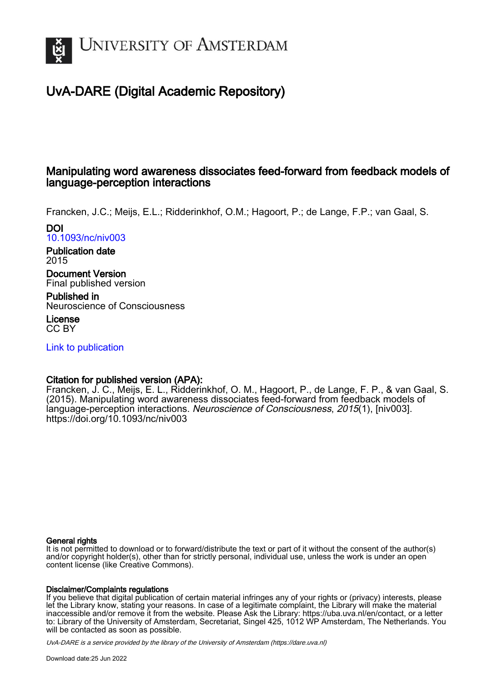

# UvA-DARE (Digital Academic Repository)

# Manipulating word awareness dissociates feed-forward from feedback models of language-perception interactions

Francken, J.C.; Meijs, E.L.; Ridderinkhof, O.M.; Hagoort, P.; de Lange, F.P.; van Gaal, S.

DOI [10.1093/nc/niv003](https://doi.org/10.1093/nc/niv003)

Publication date 2015

Document Version Final published version

Published in Neuroscience of Consciousness

License CC BY

[Link to publication](https://dare.uva.nl/personal/pure/en/publications/manipulating-word-awareness-dissociates-feedforward-from-feedback-models-of-languageperception-interactions(1c2b9622-5650-470b-ac72-8126f5e17f1d).html)

# Citation for published version (APA):

Francken, J. C., Meijs, E. L., Ridderinkhof, O. M., Hagoort, P., de Lange, F. P., & van Gaal, S. (2015). Manipulating word awareness dissociates feed-forward from feedback models of language-perception interactions. Neuroscience of Consciousness, 2015(1), [niv003]. <https://doi.org/10.1093/nc/niv003>

# General rights

It is not permitted to download or to forward/distribute the text or part of it without the consent of the author(s) and/or copyright holder(s), other than for strictly personal, individual use, unless the work is under an open content license (like Creative Commons).

# Disclaimer/Complaints regulations

If you believe that digital publication of certain material infringes any of your rights or (privacy) interests, please let the Library know, stating your reasons. In case of a legitimate complaint, the Library will make the material inaccessible and/or remove it from the website. Please Ask the Library: https://uba.uva.nl/en/contact, or a letter to: Library of the University of Amsterdam, Secretariat, Singel 425, 1012 WP Amsterdam, The Netherlands. You will be contacted as soon as possible.

UvA-DARE is a service provided by the library of the University of Amsterdam (http*s*://dare.uva.nl)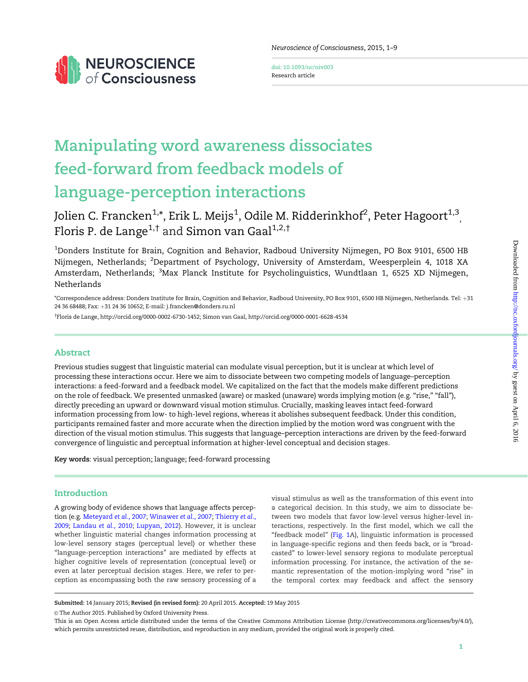

Neuroscience of Consciousness, 2015, 1–9

doi: 10.1093/nc/niv003 Research article

# Manipulating word awareness dissociates feed-forward from feedback models of language-perception interactions

Jolien C. Francken $^{1,*}$ , Erik L. Meijs $^1$ , Odile M. Ridderinkhof $^2$ , Peter Hagoort $^{1,3}_{\rm ,}$ Floris P. de Lange<sup>1,†</sup> and Simon van Gaal<sup>1,2,†</sup>

 $^{\rm 1}$ Donders Institute for Brain, Cognition and Behavior, Radboud University Nijmegen, PO Box 9101, 6500 HB Nijmegen, Netherlands; <sup>2</sup>Department of Psychology, University of Amsterdam, Weesperplein 4, 1018 XA Amsterdam, Netherlands; <sup>3</sup>Max Planck Institute for Psycholinguistics, Wundtlaan 1, 6525 XD Nijmegen, Netherlands

\*Correspondence address: Donders Institute for Brain, Cognition and Behavior, Radboud University, PO Box 9101, 6500 HB Nijmegen, Netherlands. Tel: þ31 24 36 68488; Fax: +31 24 36 10652; E-mail: j.francken@donders.ru.nl

† Floris de Lange, http://orcid.org/0000-0002-6730-1452; Simon van Gaal, http://orcid.org/0000-0001-6628-4534

# Abstract

Previous studies suggest that linguistic material can modulate visual perception, but it is unclear at which level of processing these interactions occur. Here we aim to dissociate between two competing models of language–perception interactions: a feed-forward and a feedback model. We capitalized on the fact that the models make different predictions on the role of feedback. We presented unmasked (aware) or masked (unaware) words implying motion (e.g. "rise," "fall"), directly preceding an upward or downward visual motion stimulus. Crucially, masking leaves intact feed-forward information processing from low- to high-level regions, whereas it abolishes subsequent feedback. Under this condition, participants remained faster and more accurate when the direction implied by the motion word was congruent with the direction of the visual motion stimulus. This suggests that language–perception interactions are driven by the feed-forward convergence of linguistic and perceptual information at higher-level conceptual and decision stages.

Key words: visual perception; language; feed-forward processing

## Introduction

A growing body of evidence shows that language affects perception (e.g. [Meteyard](#page-8-0) et al., 2007; [Winawer](#page-9-0) et al., 2007; [Thierry](#page-8-0) et al., [2009;](#page-8-0) [Landau](#page-8-0) et al., 2010; [Lupyan, 2012](#page-8-0)). However, it is unclear whether linguistic material changes information processing at low-level sensory stages (perceptual level) or whether these "language-perception interactions" are mediated by effects at higher cognitive levels of representation (conceptual level) or even at later perceptual decision stages. Here, we refer to perception as encompassing both the raw sensory processing of a

visual stimulus as well as the transformation of this event into a categorical decision. In this study, we aim to dissociate between two models that favor low-level versus higher-level interactions, respectively. In the first model, which we call the "feedback model" [\(Fig. 1A](#page-2-0)), linguistic information is processed in language-specific regions and then feeds back, or is "broadcasted" to lower-level sensory regions to modulate perceptual information processing. For instance, the activation of the semantic representation of the motion-implying word "rise" in the temporal cortex may feedback and affect the sensory

Submitted: 14 January 2015; Revised (in revised form): 20 April 2015. Accepted: 19 May 2015

 $© The Author 2015. Published by Oxford University Press.$ 

This is an Open Access article distributed under the terms of the Creative Commons Attribution License (http://creativecommons.org/licenses/by/4.0/), which permits unrestricted reuse, distribution, and reproduction in any medium, provided the original work is properly cited.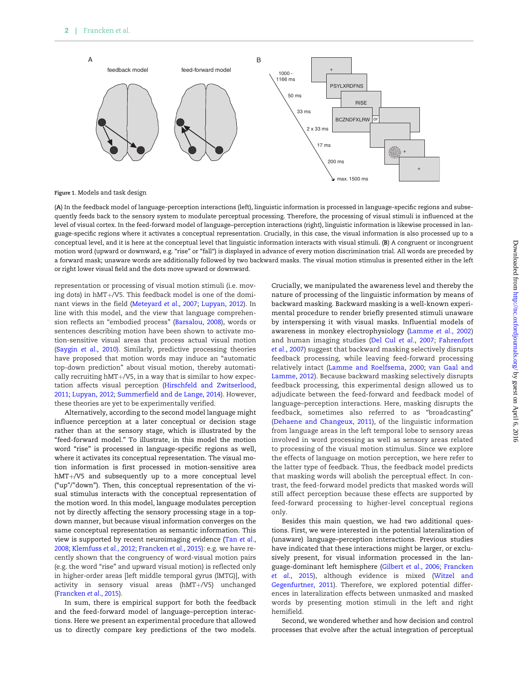<span id="page-2-0"></span>

Figure 1. Models and task design

(A) In the feedback model of language-perception interactions (left), linguistic information is processed in language-specific regions and subsequently feeds back to the sensory system to modulate perceptual processing. Therefore, the processing of visual stimuli is influenced at the level of visual cortex. In the feed-forward model of language–perception interactions (right), linguistic information is likewise processed in language-specific regions where it activates a conceptual representation. Crucially, in this case, the visual information is also processed up to a conceptual level, and it is here at the conceptual level that linguistic information interacts with visual stimuli. (B) A congruent or incongruent motion word (upward or downward, e.g. "rise" or "fall") is displayed in advance of every motion discrimination trial. All words are preceded by a forward mask; unaware words are additionally followed by two backward masks. The visual motion stimulus is presented either in the left or right lower visual field and the dots move upward or downward.

representation or processing of visual motion stimuli (i.e. moving dots) in hMT+/V5. This feedback model is one of the dominant views in the field [\(Meteyard](#page-8-0) et al., 2007; [Lupyan, 2012](#page-8-0)). In line with this model, and the view that language comprehension reflects an "embodied process" [\(Barsalou, 2008\)](#page-8-0), words or sentences describing motion have been shown to activate motion-sensitive visual areas that process actual visual motion [\(Saygin](#page-8-0) et al., 2010). Similarly, predictive processing theories have proposed that motion words may induce an "automatic top-down prediction" about visual motion, thereby automatically recruiting  $hMT+/VS$ , in a way that is similar to how expectation affects visual perception ([Hirschfeld and Zwitserlood,](#page-8-0) [2011;](#page-8-0) [Lupyan, 2012](#page-8-0); [Summerfield and de Lange, 2014](#page-8-0)). However, these theories are yet to be experimentally verified.

Alternatively, according to the second model language might influence perception at a later conceptual or decision stage rather than at the sensory stage, which is illustrated by the "feed-forward model." To illustrate, in this model the motion word "rise" is processed in language-specific regions as well, where it activates its conceptual representation. The visual motion information is first processed in motion-sensitive area hMT+/V5 and subsequently up to a more conceptual level ("up"/"down"). Then, this conceptual representation of the visual stimulus interacts with the conceptual representation of the motion word. In this model, language modulates perception not by directly affecting the sensory processing stage in a topdown manner, but because visual information converges on the same conceptual representation as semantic information. This view is supported by recent neuroimaging evidence (Tan [et al](#page-8-0)., [2008;](#page-8-0) [Klemfuss](#page-8-0) et al., 2012; [Francken](#page-8-0) et al., 2015): e.g. we have recently shown that the congruency of word-visual motion pairs (e.g. the word "rise" and upward visual motion) is reflected only in higher-order areas [left middle temporal gyrus (lMTG)], with activity in sensory visual areas  $(hMT+/V5)$  unchanged [\(Francken](#page-8-0) et al., 2015).

In sum, there is empirical support for both the feedback and the feed-forward model of language–perception interactions. Here we present an experimental procedure that allowed us to directly compare key predictions of the two models.

Crucially, we manipulated the awareness level and thereby the nature of processing of the linguistic information by means of backward masking. Backward masking is a well-known experimental procedure to render briefly presented stimuli unaware by interspersing it with visual masks. Influential models of awareness in monkey electrophysiology ([Lamme](#page-8-0) et al., 2002) and human imaging studies ([Del Cul](#page-8-0) et al., 2007; [Fahrenfort](#page-8-0) et al.[, 2007\)](#page-8-0) suggest that backward masking selectively disrupts feedback processing, while leaving feed-forward processing relatively intact [\(Lamme and Roelfsema, 2000;](#page-8-0) [van Gaal and](#page-9-0) [Lamme, 2012](#page-9-0)). Because backward masking selectively disrupts feedback processing, this experimental design allowed us to adjudicate between the feed-forward and feedback model of language–perception interactions. Here, masking disrupts the feedback, sometimes also referred to as "broadcasting" ([Dehaene and Changeux, 2011\)](#page-8-0), of the linguistic information from language areas in the left temporal lobe to sensory areas involved in word processing as well as sensory areas related to processing of the visual motion stimulus. Since we explore the effects of language on motion perception, we here refer to the latter type of feedback. Thus, the feedback model predicts that masking words will abolish the perceptual effect. In contrast, the feed-forward model predicts that masked words will still affect perception because these effects are supported by feed-forward processing to higher-level conceptual regions only.

Besides this main question, we had two additional questions. First, we were interested in the potential lateralization of (unaware) language–perception interactions. Previous studies have indicated that these interactions might be larger, or exclusively present, for visual information processed in the language-dominant left hemisphere [\(Gilbert](#page-8-0) et al., 2006; [Francken](#page-8-0) et al[., 2015](#page-8-0)), although evidence is mixed ([Witzel and](#page-9-0) [Gegenfurtner, 2011\)](#page-9-0). Therefore, we explored potential differences in lateralization effects between unmasked and masked words by presenting motion stimuli in the left and right hemifield.

Second, we wondered whether and how decision and control processes that evolve after the actual integration of perceptual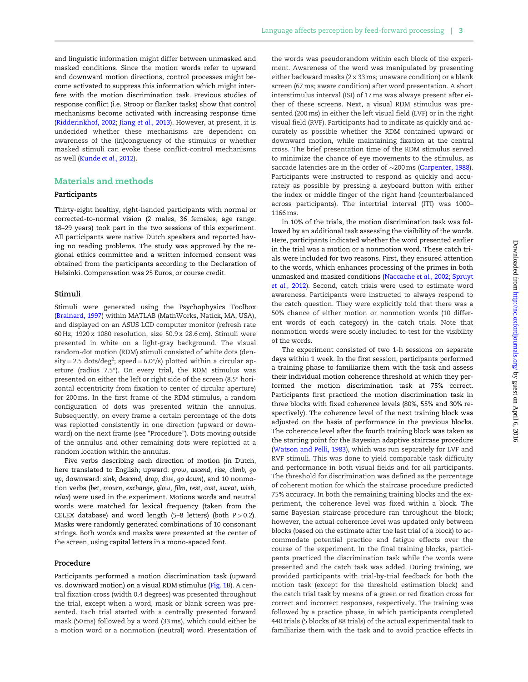and linguistic information might differ between unmasked and masked conditions. Since the motion words refer to upward and downward motion directions, control processes might become activated to suppress this information which might interfere with the motion discrimination task. Previous studies of response conflict (i.e. Stroop or flanker tasks) show that control mechanisms become activated with increasing response time [\(Ridderinkhof, 2002](#page-8-0); Jiang et al.[, 2013](#page-8-0)). However, at present, it is undecided whether these mechanisms are dependent on awareness of the (in)congruency of the stimulus or whether masked stimuli can evoke these conflict-control mechanisms as well ([Kunde](#page-8-0) et al., 2012).

## Materials and methods

#### Participants

Thirty-eight healthy, right-handed participants with normal or corrected-to-normal vision (2 males, 36 females; age range: 18–29 years) took part in the two sessions of this experiment. All participants were native Dutch speakers and reported having no reading problems. The study was approved by the regional ethics committee and a written informed consent was obtained from the participants according to the Declaration of Helsinki. Compensation was 25 Euros, or course credit.

#### Stimuli

Stimuli were generated using the Psychophysics Toolbox [\(Brainard, 1997\)](#page-8-0) within MATLAB (MathWorks, Natick, MA, USA), and displayed on an ASUS LCD computer monitor (refresh rate 60 Hz, 1920 x 1080 resolution, size 50.9 x 28.6 cm). Stimuli were presented in white on a light-gray background. The visual random-dot motion (RDM) stimuli consisted of white dots (den- $\text{sity} = 2.5 \text{ dots}/\text{deg}^2$ ;  $\text{speed} = 6.0^{\circ}/\text{s}$ ) plotted within a circular aperture (radius 7.5°). On every trial, the RDM stimulus was presented on either the left or right side of the screen (8.5 $^{\circ}$  horizontal eccentricity from fixation to center of circular aperture) for 200 ms. In the first frame of the RDM stimulus, a random configuration of dots was presented within the annulus. Subsequently, on every frame a certain percentage of the dots was replotted consistently in one direction (upward or downward) on the next frame (see "Procedure"). Dots moving outside of the annulus and other remaining dots were replotted at a random location within the annulus.

Five verbs describing each direction of motion (in Dutch, here translated to English; upward: grow, ascend, rise, climb, go up; downward: sink, descend, drop, dive, go down), and 10 nonmotion verbs (bet, mourn, exchange, glow, film, rest, cost, sweat, wish, relax) were used in the experiment. Motions words and neutral words were matched for lexical frequency (taken from the CELEX database) and word length (5–8 letters) (both  $P > 0.2$ ). Masks were randomly generated combinations of 10 consonant strings. Both words and masks were presented at the center of the screen, using capital letters in a mono-spaced font.

#### Procedure

Participants performed a motion discrimination task (upward vs. downward motion) on a visual RDM stimulus [\(Fig. 1B](#page-2-0)). A central fixation cross (width 0.4 degrees) was presented throughout the trial, except when a word, mask or blank screen was presented. Each trial started with a centrally presented forward mask (50 ms) followed by a word (33 ms), which could either be a motion word or a nonmotion (neutral) word. Presentation of

the words was pseudorandom within each block of the experiment. Awareness of the word was manipulated by presenting either backward masks (2 x 33 ms; unaware condition) or a blank screen (67 ms; aware condition) after word presentation. A short interstimulus interval (ISI) of 17 ms was always present after either of these screens. Next, a visual RDM stimulus was presented (200 ms) in either the left visual field (LVF) or in the right visual field (RVF). Participants had to indicate as quickly and accurately as possible whether the RDM contained upward or downward motion, while maintaining fixation at the central cross. The brief presentation time of the RDM stimulus served to minimize the chance of eye movements to the stimulus, as saccade latencies are in the order of  $\sim$ 200 ms [\(Carpenter, 1988\)](#page-8-0). Participants were instructed to respond as quickly and accurately as possible by pressing a keyboard button with either the index or middle finger of the right hand (counterbalanced across participants). The intertrial interval (ITI) was 1000– 1166 ms.

In 10% of the trials, the motion discrimination task was followed by an additional task assessing the visibility of the words. Here, participants indicated whether the word presented earlier in the trial was a motion or a nonmotion word. These catch trials were included for two reasons. First, they ensured attention to the words, which enhances processing of the primes in both unmasked and masked conditions [\(Naccache](#page-8-0) et al., 2002; [Spruyt](#page-8-0) et al.[, 2012](#page-8-0)). Second, catch trials were used to estimate word awareness. Participants were instructed to always respond to the catch question. They were explicitly told that there was a 50% chance of either motion or nonmotion words (10 different words of each category) in the catch trials. Note that nonmotion words were solely included to test for the visibility of the words.

The experiment consisted of two 1-h sessions on separate days within 1 week. In the first session, participants performed a training phase to familiarize them with the task and assess their individual motion coherence threshold at which they performed the motion discrimination task at 75% correct. Participants first practiced the motion discrimination task in three blocks with fixed coherence levels (80%, 55% and 30% respectively). The coherence level of the next training block was adjusted on the basis of performance in the previous blocks. The coherence level after the fourth training block was taken as the starting point for the Bayesian adaptive staircase procedure [\(Watson and Pelli, 1983](#page-9-0)), which was run separately for LVF and RVF stimuli. This was done to yield comparable task difficulty and performance in both visual fields and for all participants. The threshold for discrimination was defined as the percentage of coherent motion for which the staircase procedure predicted 75% accuracy. In both the remaining training blocks and the experiment, the coherence level was fixed within a block. The same Bayesian staircase procedure ran throughout the block; however, the actual coherence level was updated only between blocks (based on the estimate after the last trial of a block) to accommodate potential practice and fatigue effects over the course of the experiment. In the final training blocks, participants practiced the discrimination task while the words were presented and the catch task was added. During training, we provided participants with trial-by-trial feedback for both the motion task (except for the threshold estimation block) and the catch trial task by means of a green or red fixation cross for correct and incorrect responses, respectively. The training was followed by a practice phase, in which participants completed 440 trials (5 blocks of 88 trials) of the actual experimental task to familiarize them with the task and to avoid practice effects in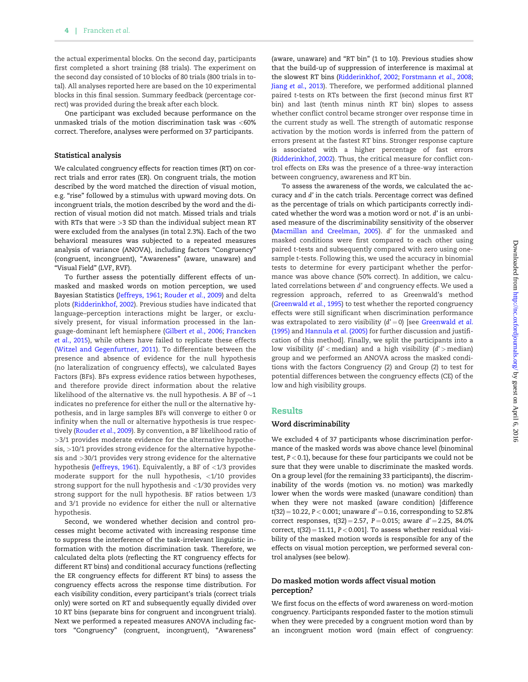the actual experimental blocks. On the second day, participants first completed a short training (88 trials). The experiment on the second day consisted of 10 blocks of 80 trials (800 trials in total). All analyses reported here are based on the 10 experimental blocks in this final session. Summary feedback (percentage correct) was provided during the break after each block.

One participant was excluded because performance on the unmasked trials of the motion discrimination task was <60% correct. Therefore, analyses were performed on 37 participants.

#### Statistical analysis

We calculated congruency effects for reaction times (RT) on correct trials and error rates (ER). On congruent trials, the motion described by the word matched the direction of visual motion, e.g. "rise" followed by a stimulus with upward moving dots. On incongruent trials, the motion described by the word and the direction of visual motion did not match. Missed trials and trials with RTs that were >3 SD than the individual subject mean RT were excluded from the analyses (in total 2.3%). Each of the two behavioral measures was subjected to a repeated measures analysis of variance (ANOVA), including factors "Congruency" (congruent, incongruent), "Awareness" (aware, unaware) and "Visual Field" (LVF, RVF).

To further assess the potentially different effects of unmasked and masked words on motion perception, we used Bayesian Statistics [\(Jeffreys, 1961](#page-8-0); [Rouder](#page-8-0) et al., 2009) and delta plots [\(Ridderinkhof, 2002\)](#page-8-0). Previous studies have indicated that language–perception interactions might be larger, or exclusively present, for visual information processed in the language-dominant left hemisphere ([Gilbert](#page-8-0) et al., 2006; [Francken](#page-8-0) et al[., 2015](#page-8-0)), while others have failed to replicate these effects ([Witzel and Gegenfurtner, 2011](#page-9-0)). To differentiate between the presence and absence of evidence for the null hypothesis (no lateralization of congruency effects), we calculated Bayes Factors (BFs). BFs express evidence ratios between hypotheses, and therefore provide direct information about the relative likelihood of the alternative vs. the null hypothesis. A BF of  $\sim$ 1 indicates no preference for either the null or the alternative hypothesis, and in large samples BFs will converge to either 0 or infinity when the null or alternative hypothesis is true respectively ([Rouder](#page-8-0) et al., 2009). By convention, a BF likelihood ratio of >3/1 provides moderate evidence for the alternative hypothesis, >10/1 provides strong evidence for the alternative hypothesis and >30/1 provides very strong evidence for the alternative hypothesis [\(Jeffreys, 1961](#page-8-0)). Equivalently, a BF of  $\langle 1/3 \rangle$  provides moderate support for the null hypothesis, <1/10 provides strong support for the null hypothesis and <1/30 provides very strong support for the null hypothesis. BF ratios between 1/3 and 3/1 provide no evidence for either the null or alternative hypothesis.

Second, we wondered whether decision and control processes might become activated with increasing response time to suppress the interference of the task-irrelevant linguistic information with the motion discrimination task. Therefore, we calculated delta plots (reflecting the RT congruency effects for different RT bins) and conditional accuracy functions (reflecting the ER congruency effects for different RT bins) to assess the congruency effects across the response time distribution. For each visibility condition, every participant's trials (correct trials only) were sorted on RT and subsequently equally divided over 10 RT bins (separate bins for congruent and incongruent trials). Next we performed a repeated measures ANOVA including factors "Congruency" (congruent, incongruent), "Awareness"

(aware, unaware) and "RT bin" (1 to 10). Previous studies show that the build-up of suppression of interference is maximal at the slowest RT bins ([Ridderinkhof, 2002;](#page-8-0) [Forstmann](#page-8-0) et al., 2008; Jiang et al[., 2013](#page-8-0)). Therefore, we performed additional planned paired t-tests on RTs between the first (second minus first RT bin) and last (tenth minus ninth RT bin) slopes to assess whether conflict control became stronger over response time in the current study as well. The strength of automatic response activation by the motion words is inferred from the pattern of errors present at the fastest RT bins. Stronger response capture is associated with a higher percentage of fast errors [\(Ridderinkhof, 2002](#page-8-0)). Thus, the critical measure for conflict control effects on ERs was the presence of a three-way interaction between congruency, awareness and RT bin.

To assess the awareness of the words, we calculated the accuracy and d' in the catch trials. Percentage correct was defined as the percentage of trials on which participants correctly indicated whether the word was a motion word or not. d' is an unbiased measure of the discriminability sensitivity of the observer [\(Macmillan and Creelman, 2005](#page-8-0)). d' for the unmasked and masked conditions were first compared to each other using paired t-tests and subsequently compared with zero using onesample t-tests. Following this, we used the accuracy in binomial tests to determine for every participant whether the performance was above chance (50% correct). In addition, we calculated correlations between d' and congruency effects. We used a regression approach, referred to as Greenwald's method [\(Greenwald](#page-8-0) et al., 1995) to test whether the reported congruency effects were still significant when discrimination performance was extrapolated to zero visibility  $(d' = 0)$  [see [Greenwald](#page-8-0) et al. [\(1995\)](#page-8-0) and [Hannula](#page-8-0) et al. (2005) for further discussion and justification of this method]. Finally, we split the participants into a low visibility  $(d' <$  median) and a high visibility  $(d' >$  median) group and we performed an ANOVA across the masked conditions with the factors Congruency (2) and Group (2) to test for potential differences between the congruency effects (CE) of the low and high visibility groups.

#### Results

#### Word discriminability

We excluded 4 of 37 participants whose discrimination performance of the masked words was above chance level (binominal test,  $P < 0.1$ ), because for these four participants we could not be sure that they were unable to discriminate the masked words. On a group level (for the remaining 33 participants), the discriminability of the words (motion vs. no motion) was markedly lower when the words were masked (unaware condition) than when they were not masked (aware condition) [difference  $t(32) = 10.22$ ,  $P < 0.001$ ; unaware  $d' = 0.16$ , corresponding to 52.8% correct responses,  $t(32) = 2.57$ ,  $P = 0.015$ ; aware  $d' = 2.25$ , 84.0% correct,  $t(32) = 11.11$ ,  $P < 0.001$ ]. To assess whether residual visibility of the masked motion words is responsible for any of the effects on visual motion perception, we performed several control analyses (see below).

#### Do masked motion words affect visual motion perception?

We first focus on the effects of word awareness on word-motion congruency. Participants responded faster to the motion stimuli when they were preceded by a congruent motion word than by an incongruent motion word (main effect of congruency: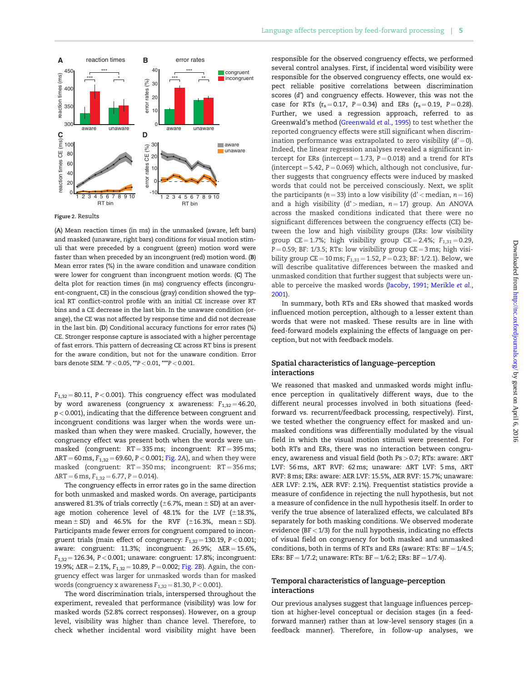<span id="page-5-0"></span>

Figure 2. Results

(A) Mean reaction times (in ms) in the unmasked (aware, left bars) and masked (unaware, right bars) conditions for visual motion stimuli that were preceded by a congruent (green) motion word were faster than when preceded by an incongruent (red) motion word. (B) Mean error rates (%) in the aware condition and unaware condition were lower for congruent than incongruent motion words. (C) The delta plot for reaction times (in ms) congruency effects (incongruent-congruent, CE) in the conscious (gray) condition showed the typical RT conflict-control profile with an initial CE increase over RT bins and a CE decrease in the last bin. In the unaware condition (orange), the CE was not affected by response time and did not decrease in the last bin. (D) Conditional accuracy functions for error rates (%) CE. Stronger response capture is associated with a higher percentage of fast errors. This pattern of decreasing CE across RT bins is present for the aware condition, but not for the unaware condition. Error bars denote SEM. \*P < 0.05, \*\*P < 0.01, \*\*\*P < 0.001.

 $F_{1,32} = 80.11$ , P < 0.001). This congruency effect was modulated by word awareness (congruency x awareness:  $F_{1,32} = 46.20$ ,  $p < 0.001$ ), indicating that the difference between congruent and incongruent conditions was larger when the words were unmasked than when they were masked. Crucially, however, the congruency effect was present both when the words were unmasked (congruent:  $RT = 335$  ms; incongruent:  $RT = 395$  ms;  $\Delta RT = 60 \text{ ms}, F_{1,32} = 69.60, P < 0.001;$  Fig. 2A), and when they were masked (congruent:  $RT = 350$  ms; incongruent:  $RT = 356$  ms;  $\Delta RT = 6$  ms,  $F_{1,32} = 6.77$ ,  $P = 0.014$ .

The congruency effects in error rates go in the same direction for both unmasked and masked words. On average, participants answered 81.3% of trials correctly ( $\pm$ 6.7%, mean  $\pm$  SD) at an average motion coherence level of 48.1% for the LVF  $(\pm 18.3\%,$ mean  $\pm$  SD) and 46.5% for the RVF ( $\pm$ 16.3%, mean  $\pm$  SD). Participants made fewer errors for congruent compared to incongruent trials (main effect of congruency:  $F_{1,32} = 130.19$ ,  $P < 0.001$ ; aware: congruent: 11.3%; incongruent:  $26.9\%$ ;  $\Delta ER = 15.6\%$ ,  $F_{1,32} = 126.34$ , P < 0.001; unaware: congruent: 17.8%; incongruent: 19.9%;  $\Delta ER = 2.1\%$ ,  $F_{1,32} = 10.89$ ,  $P = 0.002$ ; Fig. 2B). Again, the congruency effect was larger for unmasked words than for masked words (congruency x awareness  $F_{1,32} = 81.30$ ,  $P < 0.001$ ).

The word discrimination trials, interspersed throughout the experiment, revealed that performance (visibility) was low for masked words (52.8% correct responses). However, on a group level, visibility was higher than chance level. Therefore, to check whether incidental word visibility might have been responsible for the observed congruency effects, we performed several control analyses. First, if incidental word visibility were responsible for the observed congruency effects, one would expect reliable positive correlations between discrimination scores (d') and congruency effects. However, this was not the case for RTs  $(r_s = 0.17, P = 0.34)$  and ERs  $(r_s = 0.19, P = 0.28)$ . Further, we used a regression approach, referred to as Greenwald's method ([Greenwald](#page-8-0) et al., 1995) to test whether the reported congruency effects were still significant when discrimination performance was extrapolated to zero visibility  $(d' = 0)$ . Indeed, the linear regression analyses revealed a significant intercept for ERs (intercept = 1.73,  $P = 0.018$ ) and a trend for RTs (intercept = 5.42,  $P = 0.069$ ) which, although not conclusive, further suggests that congruency effects were induced by masked words that could not be perceived consciously. Next, we split the participants ( $n = 33$ ) into a low visibility (d' < median,  $n = 16$ ) and a high visibility  $(d')$  median,  $n = 17$ ) group. An ANOVA across the masked conditions indicated that there were no significant differences between the congruency effects (CE) between the low and high visibility groups (ERs: low visibility group CE = 1.7%; high visibility group CE = 2.4%;  $F_{1,31} = 0.29$ ,  $P = 0.59$ ; BF: 1/3.5; RTs: low visibility group CE = 3 ms; high visibility group CE = 10 ms;  $F_{1,31}$  = 1.52, P = 0.23; BF: 1/2.1). Below, we will describe qualitative differences between the masked and unmasked condition that further suggest that subjects were unable to perceive the masked words [\(Jacoby, 1991](#page-8-0); [Merikle](#page-8-0) et al., [2001\)](#page-8-0).

In summary, both RTs and ERs showed that masked words influenced motion perception, although to a lesser extent than words that were not masked. These results are in line with feed-forward models explaining the effects of language on perception, but not with feedback models.

#### Spatial characteristics of language–perception interactions

We reasoned that masked and unmasked words might influence perception in qualitatively different ways, due to the different neural processes involved in both situations (feedforward vs. recurrent/feedback processing, respectively). First, we tested whether the congruency effect for masked and unmasked conditions was differentially modulated by the visual field in which the visual motion stimuli were presented. For both RTs and ERs, there was no interaction between congruency, awareness and visual field (both Ps  $>$  0.7; RTs: aware:  $\Delta$ RT LVF: 56 ms, ART RVF: 62 ms; unaware: ART LVF: 5 ms, ART RVF: 8 ms; ERs: aware: ΔER LVF: 15.5%, ΔER RVF: 15.7%; unaware: ΔER LVF: 2.1%, ΔER RVF: 2.1%). Frequentist statistics provide a measure of confidence in rejecting the null hypothesis, but not a measure of confidence in the null hypothesis itself. In order to verify the true absence of lateralized effects, we calculated BFs separately for both masking conditions. We observed moderate evidence (BF  $<$  1/3) for the null hypothesis, indicating no effects of visual field on congruency for both masked and unmasked conditions, both in terms of RTs and ERs (aware: RTs:  $BF = 1/4.5$ ; ERs:  $BF = 1/7.2$ ; unaware: RTs:  $BF = 1/6.2$ ; ERs:  $BF = 1/7.4$ ).

#### Temporal characteristics of language–perception interactions

Our previous analyses suggest that language influences perception at higher-level conceptual or decision stages (in a feedforward manner) rather than at low-level sensory stages (in a feedback manner). Therefore, in follow-up analyses, we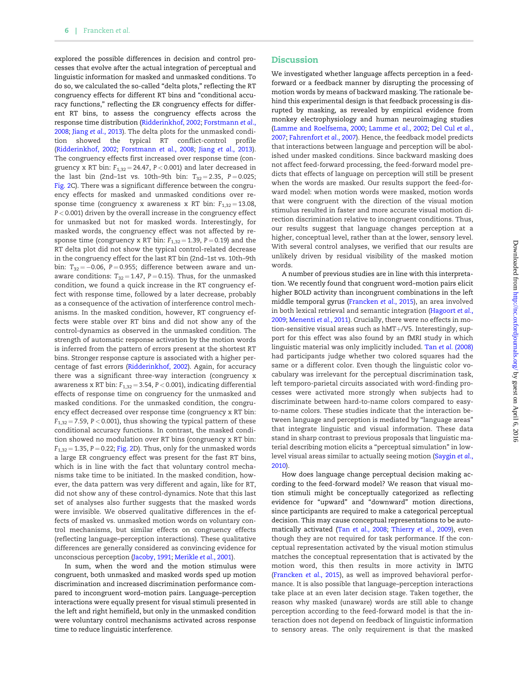explored the possible differences in decision and control processes that evolve after the actual integration of perceptual and linguistic information for masked and unmasked conditions. To do so, we calculated the so-called "delta plots," reflecting the RT congruency effects for different RT bins and "conditional accuracy functions," reflecting the ER congruency effects for different RT bins, to assess the congruency effects across the response time distribution [\(Ridderinkhof, 2002;](#page-8-0) [Forstmann](#page-8-0) et al., [2008;](#page-8-0) Jiang et al[., 2013\)](#page-8-0). The delta plots for the unmasked condition showed the typical RT conflict-control profile [\(Ridderinkhof, 2002](#page-8-0); [Forstmann](#page-8-0) et al., 2008; Jiang et al[., 2013\)](#page-8-0). The congruency effects first increased over response time (congruency x RT bin:  $F_{1,32} = 24.47$ ,  $P < 0.001$ ) and later decreased in the last bin (2nd–1st vs. 10th–9th bin:  $T_{32} = 2.35$ , P = 0.025; [Fig. 2](#page-5-0)C). There was a significant difference between the congruency effects for masked and unmasked conditions over response time (congruency x awareness x RT bin:  $F_{1,32} = 13.08$ , P < 0.001) driven by the overall increase in the congruency effect for unmasked but not for masked words. Interestingly, for masked words, the congruency effect was not affected by response time (congruency x RT bin:  $F_{1,32} = 1.39$ ,  $P = 0.19$ ) and the RT delta plot did not show the typical control-related decrease in the congruency effect for the last RT bin (2nd–1st vs. 10th–9th bin:  $T_{32} = -0.06$ , P = 0.955; difference between aware and unaware conditions:  $T_{32} = 1.47$ , P = 0.15). Thus, for the unmasked condition, we found a quick increase in the RT congruency effect with response time, followed by a later decrease, probably as a consequence of the activation of interference control mechanisms. In the masked condition, however, RT congruency effects were stable over RT bins and did not show any of the control-dynamics as observed in the unmasked condition. The strength of automatic response activation by the motion words is inferred from the pattern of errors present at the shortest RT bins. Stronger response capture is associated with a higher percentage of fast errors [\(Ridderinkhof, 2002\)](#page-8-0). Again, for accuracy there was a significant three-way interaction (congruency x awareness x RT bin:  $F_{1,32} = 3.54$ ,  $P < 0.001$ ), indicating differential effects of response time on congruency for the unmasked and masked conditions. For the unmasked condition, the congruency effect decreased over response time (congruency x RT bin:  $F_{1,32}$  = 7.59, P < 0.001), thus showing the typical pattern of these conditional accuracy functions. In contrast, the masked condition showed no modulation over RT bins (congruency x RT bin:  $F<sub>1,32</sub> = 1.35, P = 0.22$ ; [Fig. 2D](#page-5-0)). Thus, only for the unmasked words a large ER congruency effect was present for the fast RT bins, which is in line with the fact that voluntary control mechanisms take time to be initiated. In the masked condition, however, the data pattern was very different and again, like for RT, did not show any of these control-dynamics. Note that this last set of analyses also further suggests that the masked words were invisible. We observed qualitative differences in the effects of masked vs. unmasked motion words on voluntary control mechanisms, but similar effects on congruency effects (reflecting language–perception interactions). These qualitative differences are generally considered as convincing evidence for unconscious perception ([Jacoby, 1991;](#page-8-0) [Merikle](#page-8-0) et al., 2001).

In sum, when the word and the motion stimulus were congruent, both unmasked and masked words sped up motion discrimination and increased discrimination performance compared to incongruent word–motion pairs. Language–perception interactions were equally present for visual stimuli presented in the left and right hemifield, but only in the unmasked condition were voluntary control mechanisms activated across response time to reduce linguistic interference.

We investigated whether language affects perception in a feedforward or a feedback manner by disrupting the processing of motion words by means of backward masking. The rationale behind this experimental design is that feedback processing is disrupted by masking, as revealed by empirical evidence from monkey electrophysiology and human neuroimaging studies [\(Lamme and Roelfsema, 2000;](#page-8-0) [Lamme](#page-8-0) et al., 2002; [Del Cul](#page-8-0) et al., [2007;](#page-8-0) [Fahrenfort](#page-8-0) et al., 2007). Hence, the feedback model predicts that interactions between language and perception will be abolished under masked conditions. Since backward masking does not affect feed-forward processing, the feed-forward model predicts that effects of language on perception will still be present when the words are masked. Our results support the feed-forward model: when motion words were masked, motion words that were congruent with the direction of the visual motion stimulus resulted in faster and more accurate visual motion direction discrimination relative to incongruent conditions. Thus, our results suggest that language changes perception at a higher, conceptual level, rather than at the lower, sensory level. With several control analyses, we verified that our results are unlikely driven by residual visibility of the masked motion words.

A number of previous studies are in line with this interpretation. We recently found that congruent word–motion pairs elicit higher BOLD activity than incongruent combinations in the left middle temporal gyrus ([Francken](#page-8-0) et al., 2015), an area involved in both lexical retrieval and semantic integration [\(Hagoort](#page-8-0) et al., [2009;](#page-8-0) [Menenti](#page-8-0) et al., 2011). Crucially, there were no effects in motion-sensitive visual areas such as  $hMT+/VS$ . Interestingly, support for this effect was also found by an fMRI study in which linguistic material was only implicitly included. Tan et al. [\(2008\)](#page-8-0) had participants judge whether two colored squares had the same or a different color. Even though the linguistic color vocabulary was irrelevant for the perceptual discrimination task, left temporo-parietal circuits associated with word-finding processes were activated more strongly when subjects had to discriminate between hard-to-name colors compared to easyto-name colors. These studies indicate that the interaction between language and perception is mediated by "language areas" that integrate linguistic and visual information. These data stand in sharp contrast to previous proposals that linguistic material describing motion elicits a "perceptual simulation" in lowlevel visual areas similar to actually seeing motion [\(Saygin](#page-8-0) et al., [2010\)](#page-8-0).

How does language change perceptual decision making according to the feed-forward model? We reason that visual motion stimuli might be conceptually categorized as reflecting evidence for "upward" and "downward" motion directions, since participants are required to make a categorical perceptual decision. This may cause conceptual representations to be automatically activated (Tan et al[., 2008;](#page-8-0) [Thierry](#page-8-0) et al., 2009), even though they are not required for task performance. If the conceptual representation activated by the visual motion stimulus matches the conceptual representation that is activated by the motion word, this then results in more activity in lMTG [\(Francken](#page-8-0) et al., 2015), as well as improved behavioral performance. It is also possible that language–perception interactions take place at an even later decision stage. Taken together, the reason why masked (unaware) words are still able to change perception according to the feed-forward model is that the interaction does not depend on feedback of linguistic information to sensory areas. The only requirement is that the masked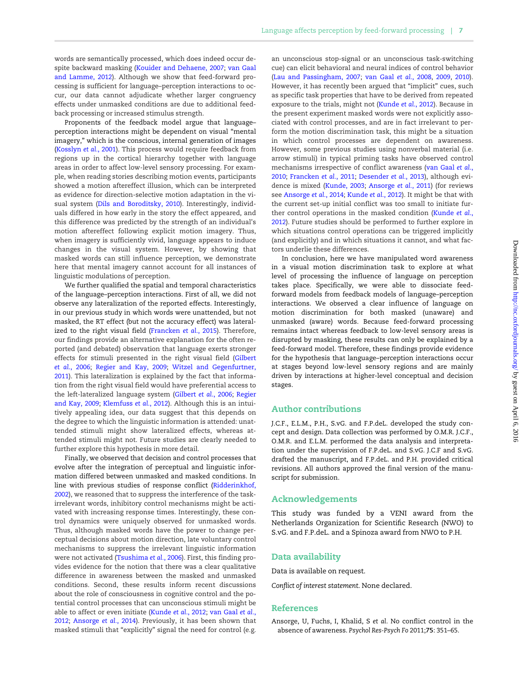words are semantically processed, which does indeed occur despite backward masking [\(Kouider and Dehaene, 2007;](#page-8-0) [van Gaal](#page-9-0) [and Lamme, 2012](#page-9-0)). Although we show that feed-forward processing is sufficient for language–perception interactions to occur, our data cannot adjudicate whether larger congruency effects under unmasked conditions are due to additional feedback processing or increased stimulus strength.

Proponents of the feedback model argue that language– perception interactions might be dependent on visual "mental imagery," which is the conscious, internal generation of images [\(Kosslyn](#page-8-0) et al., 2001). This process would require feedback from regions up in the cortical hierarchy together with language areas in order to affect low-level sensory processing. For example, when reading stories describing motion events, participants showed a motion aftereffect illusion, which can be interpreted as evidence for direction-selective motion adaptation in the visual system [\(Dils and Boroditsky, 2010\)](#page-8-0). Interestingly, individuals differed in how early in the story the effect appeared, and this difference was predicted by the strength of an individual's motion aftereffect following explicit motion imagery. Thus, when imagery is sufficiently vivid, language appears to induce changes in the visual system. However, by showing that masked words can still influence perception, we demonstrate here that mental imagery cannot account for all instances of linguistic modulations of perception.

We further qualified the spatial and temporal characteristics of the language–perception interactions. First of all, we did not observe any lateralization of the reported effects. Interestingly, in our previous study in which words were unattended, but not masked, the RT effect (but not the accuracy effect) was lateralized to the right visual field [\(Francken](#page-8-0) et al., 2015). Therefore, our findings provide an alternative explanation for the often reported (and debated) observation that language exerts stronger effects for stimuli presented in the right visual field ([Gilbert](#page-8-0) et al[., 2006;](#page-8-0) [Regier and Kay, 2009](#page-8-0); [Witzel and Gegenfurtner,](#page-9-0) [2011\)](#page-9-0). This lateralization is explained by the fact that information from the right visual field would have preferential access to the left-lateralized language system ([Gilbert](#page-8-0) et al., 2006; [Regier](#page-8-0) [and Kay, 2009](#page-8-0); [Klemfuss](#page-8-0) et al., 2012). Although this is an intuitively appealing idea, our data suggest that this depends on the degree to which the linguistic information is attended: unattended stimuli might show lateralized effects, whereas attended stimuli might not. Future studies are clearly needed to further explore this hypothesis in more detail.

Finally, we observed that decision and control processes that evolve after the integration of perceptual and linguistic information differed between unmasked and masked conditions. In line with previous studies of response conflict [\(Ridderinkhof,](#page-8-0) [2002\)](#page-8-0), we reasoned that to suppress the interference of the taskirrelevant words, inhibitory control mechanisms might be activated with increasing response times. Interestingly, these control dynamics were uniquely observed for unmasked words. Thus, although masked words have the power to change perceptual decisions about motion direction, late voluntary control mechanisms to suppress the irrelevant linguistic information were not activated [\(Tsushima](#page-8-0) et al., 2006). First, this finding provides evidence for the notion that there was a clear qualitative difference in awareness between the masked and unmasked conditions. Second, these results inform recent discussions about the role of consciousness in cognitive control and the potential control processes that can unconscious stimuli might be able to affect or even initiate ([Kunde](#page-8-0) et al., 2012; [van Gaal](#page-8-0) et al., [2012;](#page-8-0) [Ansorge](#page-8-0) et al., 2014). Previously, it has been shown that masked stimuli that "explicitly" signal the need for control (e.g.

an unconscious stop-signal or an unconscious task-switching cue) can elicit behavioral and neural indices of control behavior [\(Lau and Passingham, 2007](#page-8-0); [van Gaal](#page-9-0) et al., 2008, [2009,](#page-9-0) [2010\)](#page-9-0). However, it has recently been argued that "implicit" cues, such as specific task properties that have to be derived from repeated exposure to the trials, might not [\(Kunde](#page-8-0) et al., 2012). Because in the present experiment masked words were not explicitly associated with control processes, and are in fact irrelevant to perform the motion discrimination task, this might be a situation in which control processes are dependent on awareness. However, some previous studies using nonverbal material (i.e. arrow stimuli) in typical priming tasks have observed control mechanisms irrespective of conflict awareness ([van Gaal](#page-9-0) et al., [2010;](#page-9-0) [Francken](#page-8-0) et al., 2011; [Desender](#page-8-0) et al., 2013), although evidence is mixed [\(Kunde, 2003;](#page-8-0) Ansorge et al., 2011) (for reviews see [Ansorge](#page-8-0) et al., 2014; [Kunde](#page-8-0) et al., 2012). It might be that with the current set-up initial conflict was too small to initiate fur-ther control operations in the masked condition ([Kunde](#page-8-0) et al., [2012\)](#page-8-0). Future studies should be performed to further explore in which situations control operations can be triggered implicitly (and explicitly) and in which situations it cannot, and what factors underlie these differences.

In conclusion, here we have manipulated word awareness in a visual motion discrimination task to explore at what level of processing the influence of language on perception takes place. Specifically, we were able to dissociate feedforward models from feedback models of language–perception interactions. We observed a clear influence of language on motion discrimination for both masked (unaware) and unmasked (aware) words. Because feed-forward processing remains intact whereas feedback to low-level sensory areas is disrupted by masking, these results can only be explained by a feed-forward model. Therefore, these findings provide evidence for the hypothesis that language–perception interactions occur at stages beyond low-level sensory regions and are mainly driven by interactions at higher-level conceptual and decision stages.

# Author contributions

J.C.F., E.L.M., P.H., S.vG. and F.P.deL. developed the study concept and design. Data collection was performed by O.M.R. J.C.F., O.M.R. and E.L.M. performed the data analysis and interpretation under the supervision of F.P.deL. and S.vG. J.C.F and S.vG. drafted the manuscript, and F.P.deL. and P.H. provided critical revisions. All authors approved the final version of the manuscript for submission.

#### Acknowledgements

This study was funded by a VENI award from the Netherlands Organization for Scientific Research (NWO) to S.vG. and F.P.deL. and a Spinoza award from NWO to P.H.

#### Data availability

Data is available on request.

Conflict of interest statement. None declared.

### References

Ansorge, U, Fuchs, I, Khalid, S et al. No conflict control in the absence of awareness. Psychol Res-Psych Fo 2011;75: 351–65.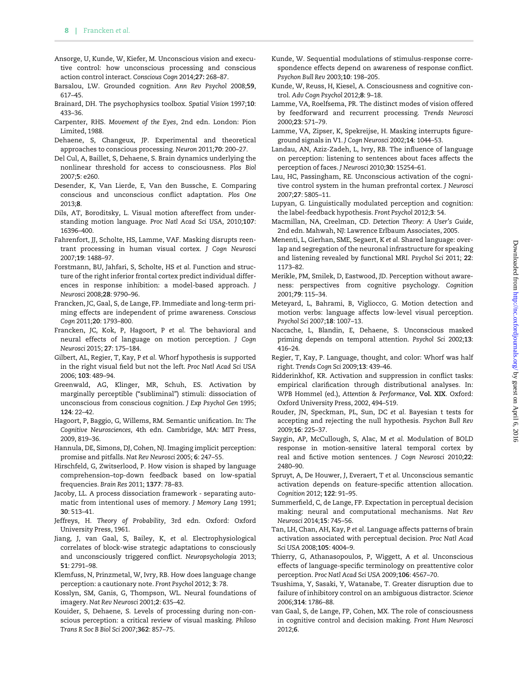- <span id="page-8-0"></span>Ansorge, U, Kunde, W, Kiefer, M. Unconscious vision and executive control: how unconscious processing and conscious action control interact. Conscious Cogn 2014;27: 268–87.
- Barsalou, LW. Grounded cognition. Ann Rev Psychol 2008;59, 617–45.
- Brainard, DH. The psychophysics toolbox. Spatial Vision 1997;10: 433–36.
- Carpenter, RHS. Movement of the Eyes, 2nd edn. London: Pion Limited, 1988.
- Dehaene, S, Changeux, JP. Experimental and theoretical approaches to conscious processing. Neuron 2011;70: 200–27.
- Del Cul, A, Baillet, S, Dehaene, S. Brain dynamics underlying the nonlinear threshold for access to consciousness. Plos Biol 2007;5: e260.
- Desender, K, Van Lierde, E, Van den Bussche, E. Comparing conscious and unconscious conflict adaptation. Plos One 2013;8.
- Dils, AT, Boroditsky, L. Visual motion aftereffect from understanding motion language. Proc Natl Acad Sci USA, 2010;107: 16396–400.
- Fahrenfort, JJ, Scholte, HS, Lamme, VAF. Masking disrupts reentrant processing in human visual cortex. J Cogn Neurosci 2007;19: 1488–97.
- Forstmann, BU, Jahfari, S, Scholte, HS et al. Function and structure of the right inferior frontal cortex predict individual differences in response inhibition: a model-based approach. J Neurosci 2008;28: 9790–96.
- Francken, JC, Gaal, S, de Lange, FP. Immediate and long-term priming effects are independent of prime awareness. Conscious Cogn 2011;20: 1793–800.
- Francken, JC, Kok, P, Hagoort, P et al. The behavioral and neural effects of language on motion perception. J Cogn Neurosci 2015; 27: 175–184.
- Gilbert, AL, Regier, T, Kay, P et al. Whorf hypothesis is supported in the right visual field but not the left. Proc Natl Acad Sci USA 2006; 103: 489–94.
- Greenwald, AG, Klinger, MR, Schuh, ES. Activation by marginally perceptible ("subliminal") stimuli: dissociation of unconscious from conscious cognition. J Exp Psychol Gen 1995; 124: 22–42.
- Hagoort, P, Baggio, G, Willems, RM. Semantic unification. In: The Cognitive Neurosciences, 4th edn. Cambridge, MA: MIT Press, 2009, 819–36.
- Hannula, DE, Simons, DJ, Cohen, NJ. Imaging implicit perception: promise and pitfalls. Nat Rev Neurosci 2005; 6: 247–55.
- Hirschfeld, G, Zwitserlood, P. How vision is shaped by language comprehension–top-down feedback based on low-spatial frequencies. Brain Res 2011; 1377: 78–83.
- Jacoby, LL. A process dissociation framework separating automatic from intentional uses of memory. J Memory Lang 1991; 30: 513–41.
- Jeffreys, H. Theory of Probability, 3rd edn. Oxford: Oxford University Press, 1961.
- Jiang, J, van Gaal, S, Bailey, K, et al. Electrophysiological correlates of block-wise strategic adaptations to consciously and unconsciously triggered conflict. Neuropsychologia 2013; 51: 2791–98.
- Klemfuss, N, Prinzmetal, W, Ivry, RB. How does language change perception: a cautionary note. Front Psychol 2012; 3: 78.
- Kosslyn, SM, Ganis, G, Thompson, WL. Neural foundations of imagery. Nat Rev Neurosci 2001;2: 635–42.
- Kouider, S, Dehaene, S. Levels of processing during non-conscious perception: a critical review of visual masking. Philoso Trans R Soc B Biol Sci 2007;362: 857–75.
- Kunde, W. Sequential modulations of stimulus-response correspondence effects depend on awareness of response conflict. Psychon Bull Rev 2003;10: 198–205.
- Kunde, W, Reuss, H, Kiesel, A. Consciousness and cognitive control. Adv Cogn Psychol 2012;8: 9–18.
- Lamme, VA, Roelfsema, PR. The distinct modes of vision offered by feedforward and recurrent processing. Trends Neurosci 2000;23: 571–79.
- Lamme, VA, Zipser, K, Spekreijse, H. Masking interrupts figureground signals in V1. J Cogn Neurosci 2002;14: 1044–53.
- Landau, AN, Aziz-Zadeh, L, Ivry, RB. The influence of language on perception: listening to sentences about faces affects the perception of faces. J Neurosci 2010;30: 15254–61.
- Lau, HC, Passingham, RE. Unconscious activation of the cognitive control system in the human prefrontal cortex. J Neurosci 2007;27: 5805–11.
- Lupyan, G. Linguistically modulated perception and cognition: the label-feedback hypothesis. Front Psychol 2012;3: 54.
- Macmillan, NA, Creelman, CD. Detection Theory: A User's Guide, 2nd edn. Mahwah, NJ: Lawrence Erlbaum Associates, 2005.
- Menenti, L, Gierhan, SME, Segaert, K et al. Shared language: overlap and segregation of the neuronal infrastructure for speaking and listening revealed by functional MRI. Psychol Sci 2011; 22: 1173–82.
- Merikle, PM, Smilek, D, Eastwood, JD. Perception without awareness: perspectives from cognitive psychology. Cognition 2001;79: 115–34.
- Meteyard, L, Bahrami, B, Vigliocco, G. Motion detection and motion verbs: language affects low-level visual perception. Psychol Sci 2007;18: 1007–13.
- Naccache, L, Blandin, E, Dehaene, S. Unconscious masked priming depends on temporal attention. Psychol Sci 2002;13: 416–24.
- Regier, T, Kay, P. Language, thought, and color: Whorf was half right. Trends Cogn Sci 2009;13: 439–46.
- Ridderinkhof, KR. Activation and suppression in conflict tasks: empirical clarification through distributional analyses. In: WPB Hommel (ed.), Attention & Performance, Vol. XIX. Oxford: Oxford University Press, 2002, 494–519.
- Rouder, JN, Speckman, PL, Sun, DC et al. Bayesian t tests for accepting and rejecting the null hypothesis. Psychon Bull Rev 2009;16: 225–37.
- Saygin, AP, McCullough, S, Alac, M et al. Modulation of BOLD response in motion-sensitive lateral temporal cortex by real and fictive motion sentences. J Cogn Neurosci 2010;22: 2480–90.
- Spruyt, A, De Houwer, J, Everaert, T et al. Unconscious semantic activation depends on feature-specific attention allocation. Cognition 2012; 122: 91–95.
- Summerfield, C, de Lange, FP. Expectation in perceptual decision making: neural and computational mechanisms. Nat Rev Neurosci 2014;15: 745–56.
- Tan, LH, Chan, AH, Kay, P et al. Language affects patterns of brain activation associated with perceptual decision. Proc Natl Acad Sci USA 2008;105: 4004–9.
- Thierry, G, Athanasopoulos, P, Wiggett, A et al. Unconscious effects of language-specific terminology on preattentive color perception. Proc Natl Acad Sci USA 2009;106: 4567–70.
- Tsushima, Y, Sasaki, Y, Watanabe, T. Greater disruption due to failure of inhibitory control on an ambiguous distractor. Science 2006;314: 1786–88.
- van Gaal, S, de Lange, FP, Cohen, MX. The role of consciousness in cognitive control and decision making. Front Hum Neurosci 2012;6.